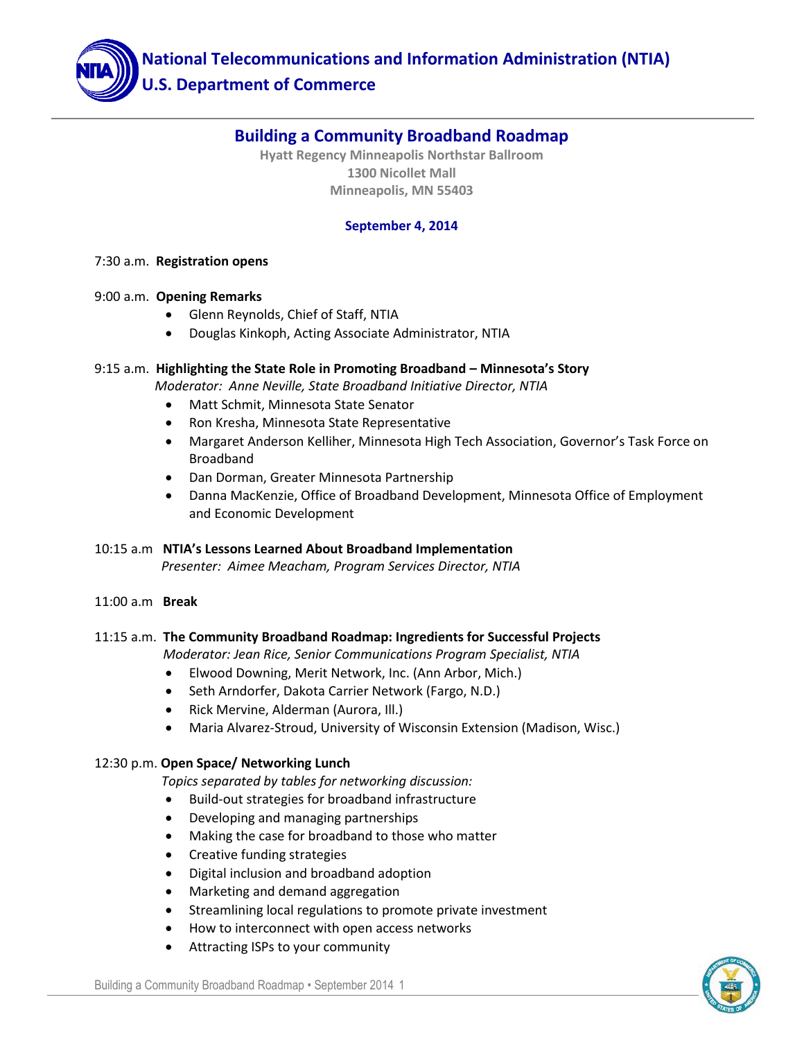

# **Building a Community Broadband Roadmap**

**Hyatt Regency Minneapolis Northstar Ballroom 1300 Nicollet Mall Minneapolis, MN 55403**

### **September 4, 2014**

#### 7:30 a.m. **Registration opens**

#### 9:00 a.m. **Opening Remarks**

- Glenn Reynolds, Chief of Staff, NTIA
- Douglas Kinkoph, Acting Associate Administrator, NTIA

#### 9:15 a.m. **Highlighting the State Role in Promoting Broadband – Minnesota's Story**

 *Moderator: Anne Neville, State Broadband Initiative Director, NTIA*

- Matt Schmit, Minnesota State Senator
- Ron Kresha, Minnesota State Representative
- Margaret Anderson Kelliher, Minnesota High Tech Association, Governor's Task Force on Broadband
- Dan Dorman, Greater Minnesota Partnership
- Danna MacKenzie, Office of Broadband Development, Minnesota Office of Employment and Economic Development

## 10:15 a.m **NTIA's Lessons Learned About Broadband Implementation**

 *Presenter: Aimee Meacham, Program Services Director, NTIA*

11:00 a.m **Break**

#### 11:15 a.m. **The Community Broadband Roadmap: Ingredients for Successful Projects**

*Moderator: Jean Rice, Senior Communications Program Specialist, NTIA*

- Elwood Downing, Merit Network, Inc. (Ann Arbor, Mich.)
- Seth Arndorfer, Dakota Carrier Network (Fargo, N.D.)
- Rick Mervine, Alderman (Aurora, Ill.)
- Maria Alvarez-Stroud, University of Wisconsin Extension (Madison, Wisc.)

#### 12:30 p.m. **Open Space/ Networking Lunch**

*Topics separated by tables for networking discussion:*

- Build-out strategies for broadband infrastructure
- Developing and managing partnerships
- Making the case for broadband to those who matter
- Creative funding strategies
- Digital inclusion and broadband adoption
- Marketing and demand aggregation
- Streamlining local regulations to promote private investment
- How to interconnect with open access networks
- Attracting ISPs to your community